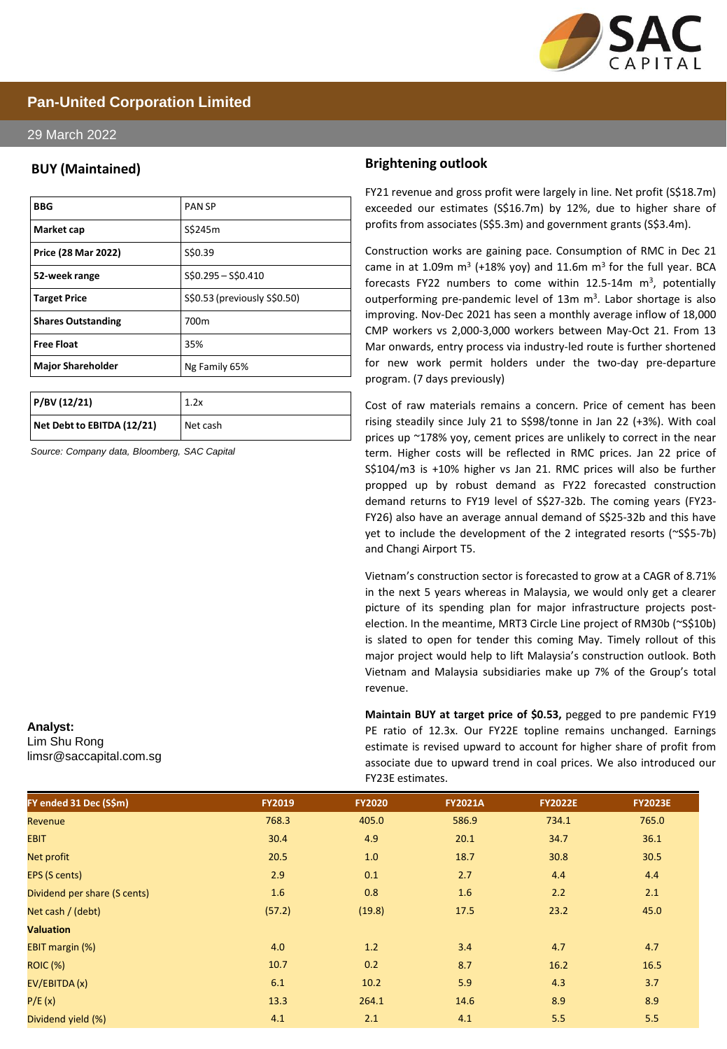

### **Pan-United Corporation Limited**

### 29 March 2022

### **BUY (Maintained)**

| <b>BBG</b>                | <b>PANSP</b>                 |
|---------------------------|------------------------------|
| Market cap                | S\$245m                      |
| Price (28 Mar 2022)       | S\$0.39                      |
| 52-week range             | $$50.295 - $50.410$          |
| <b>Target Price</b>       | S\$0.53 (previously S\$0.50) |
| <b>Shares Outstanding</b> | 700m                         |
| <b>Free Float</b>         | 35%                          |
| <b>Major Shareholder</b>  | Ng Family 65%                |

| P/BV(12/21)                | 1.2x     |
|----------------------------|----------|
| Net Debt to EBITDA (12/21) | Net cash |

*Source: Company data, Bloomberg, SAC Capital*

#### **Analyst:**

Lim Shu Rong limsr@saccapital.com.sg

### **Brightening outlook**

FY21 revenue and gross profit were largely in line. Net profit (S\$18.7m) exceeded our estimates (S\$16.7m) by 12%, due to higher share of profits from associates (S\$5.3m) and government grants (S\$3.4m).

Construction works are gaining pace. Consumption of RMC in Dec 21 came in at 1.09m  $m^3$  (+18% yoy) and 11.6m  $m^3$  for the full year. BCA forecasts FY22 numbers to come within  $12.5$ -14m m<sup>3</sup>, potentially outperforming pre-pandemic level of 13m m<sup>3</sup>. Labor shortage is also improving. Nov-Dec 2021 has seen a monthly average inflow of 18,000 CMP workers vs 2,000-3,000 workers between May-Oct 21. From 13 Mar onwards, entry process via industry-led route is further shortened for new work permit holders under the two-day pre-departure program. (7 days previously)

Cost of raw materials remains a concern. Price of cement has been rising steadily since July 21 to S\$98/tonne in Jan 22 (+3%). With coal prices up ~178% yoy, cement prices are unlikely to correct in the near term. Higher costs will be reflected in RMC prices. Jan 22 price of S\$104/m3 is +10% higher vs Jan 21. RMC prices will also be further propped up by robust demand as FY22 forecasted construction demand returns to FY19 level of S\$27-32b. The coming years (FY23- FY26) also have an average annual demand of S\$25-32b and this have yet to include the development of the 2 integrated resorts (~S\$5-7b) and Changi Airport T5.

Vietnam's construction sector is forecasted to grow at a CAGR of 8.71% in the next 5 years whereas in Malaysia, we would only get a clearer picture of its spending plan for major infrastructure projects postelection. In the meantime, MRT3 Circle Line project of RM30b (~S\$10b) is slated to open for tender this coming May. Timely rollout of this major project would help to lift Malaysia's construction outlook. Both Vietnam and Malaysia subsidiaries make up 7% of the Group's total revenue.

**Maintain BUY at target price of \$0.53,** pegged to pre pandemic FY19 PE ratio of 12.3x. Our FY22E topline remains unchanged. Earnings estimate is revised upward to account for higher share of profit from associate due to upward trend in coal prices. We also introduced our FY23E estimates.

| FY ended 31 Dec (S\$m)       | <b>FY2019</b> | <b>FY2020</b> | <b>FY2021A</b> | <b>FY2022E</b> | <b>FY2023E</b> |
|------------------------------|---------------|---------------|----------------|----------------|----------------|
| Revenue                      | 768.3         | 405.0         | 586.9          | 734.1          | 765.0          |
| <b>EBIT</b>                  | 30.4          | 4.9           | 20.1           | 34.7           | 36.1           |
| Net profit                   | 20.5          | $1.0$         | 18.7           | 30.8           | 30.5           |
| EPS (S cents)                | 2.9           | 0.1           | 2.7            | 4.4            | 4.4            |
| Dividend per share (S cents) | 1.6           | 0.8           | 1.6            | 2.2            | 2.1            |
| Net cash / (debt)            | (57.2)        | (19.8)        | 17.5           | 23.2           | 45.0           |
| <b>Valuation</b>             |               |               |                |                |                |
| EBIT margin (%)              | 4.0           | 1.2           | 3.4            | 4.7            | 4.7            |
| <b>ROIC (%)</b>              | 10.7          | 0.2           | 8.7            | 16.2           | 16.5           |
| EV/EBITDA (x)                | 6.1           | 10.2          | 5.9            | 4.3            | 3.7            |
| P/E(x)                       | 13.3          | 264.1         | 14.6           | 8.9            | 8.9            |
| Dividend yield (%)           | 4.1           | 2.1           | 4.1            | 5.5            | 5.5            |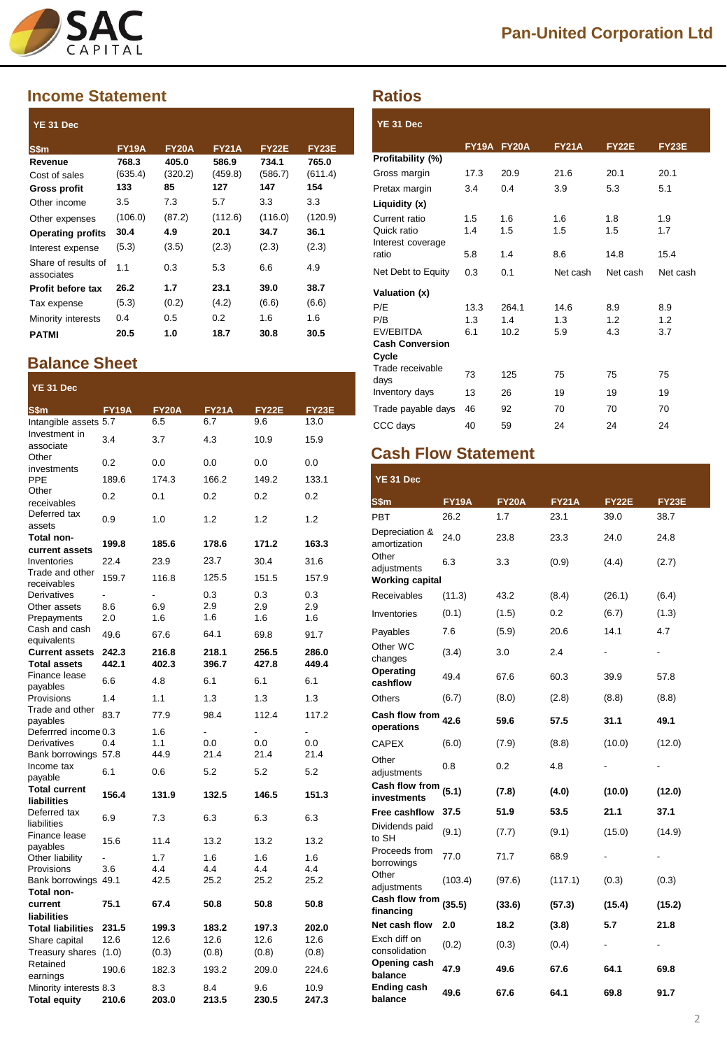

### **Income Statement**

| YE 31 Dec                         |              |              |              |              |              |
|-----------------------------------|--------------|--------------|--------------|--------------|--------------|
| S\$m                              | <b>FY19A</b> | <b>FY20A</b> | <b>FY21A</b> | <b>FY22E</b> | <b>FY23E</b> |
| Revenue                           | 768.3        | 405.0        | 586.9        | 734.1        | 765.0        |
| Cost of sales                     | (635.4)      | (320.2)      | (459.8)      | (586.7)      | (611.4)      |
| <b>Gross profit</b>               | 133          | 85           | 127          | 147          | 154          |
| Other income                      | 3.5          | 7.3          | 5.7          | 3.3          | 3.3          |
| Other expenses                    | (106.0)      | (87.2)       | (112.6)      | (116.0)      | (120.9)      |
| <b>Operating profits</b>          | 30.4         | 4.9          | 20.1         | 34.7         | 36.1         |
| Interest expense                  | (5.3)        | (3.5)        | (2.3)        | (2.3)        | (2.3)        |
| Share of results of<br>associates | 1.1          | 0.3          | 5.3          | 6.6          | 4.9          |
| Profit before tax                 | 26.2         | 1.7          | 23.1         | 39.0         | 38.7         |
| Tax expense                       | (5.3)        | (0.2)        | (4.2)        | (6.6)        | (6.6)        |
| Minority interests                | 0.4          | 0.5          | 0.2          | 1.6          | 1.6          |
| <b>PATMI</b>                      | 20.5         | 1.0          | 18.7         | 30.8         | 30.5         |

# **Balance Sheet**

| YE 31 Dec                          |              |              |              |              |              |
|------------------------------------|--------------|--------------|--------------|--------------|--------------|
| S\$m                               | <b>FY19A</b> | <b>FY20A</b> | <b>FY21A</b> | <b>FY22E</b> | <b>FY23E</b> |
| Intangible assets 5.7              |              | 6.5          | 6.7          | 9.6          | 13.0         |
| Investment in<br>associate         | 3.4          | 3.7          | 4.3          | 10.9         | 15.9         |
| Other<br>investments               | 0.2          | 0.0          | 0.0          | 0.0          | 0.0          |
| PPE                                | 189.6        | 174.3        | 166.2        | 149.2        | 133.1        |
| Other<br>receivables               | 0.2          | 0.1          | 0.2          | 0.2          | 0.2          |
| Deferred tax<br>assets             | 0.9          | 1.0          | 1.2          | 1.2          | 1.2          |
| Total non-                         | 199.8        | 185.6        | 178.6        | 171.2        | 163.3        |
| current assets                     | 22.4         |              | 23.7         |              | 31.6         |
| Inventories<br>Trade and other     |              | 23.9         |              | 30.4         |              |
| receivables                        | 159.7        | 116.8        | 125.5        | 151.5        | 157.9        |
| Derivatives                        |              |              | 0.3          | 0.3          | 0.3          |
| Other assets                       | 8.6          | 6.9          | 2.9          | 2.9          | 2.9          |
| Prepayments<br>Cash and cash       | 2.0          | 1.6          | 1.6          | 1.6          | 1.6          |
| equivalents                        | 49.6         | 67.6         | 64.1         | 69.8         | 91.7         |
| <b>Current assets</b>              | 242.3        | 216.8        | 218.1        | 256.5        | 286.0        |
| <b>Total assets</b>                | 442.1        | 402.3        | 396.7        | 427.8        | 449.4        |
| Finance lease                      | 6.6          | 4.8          | 6.1          | 6.1          | 6.1          |
| payables<br>Provisions             | 1.4          | 1.1          | 1.3          | 1.3          | 1.3          |
| Trade and other                    |              |              |              |              |              |
| payables                           | 83.7         | 77.9         | 98.4         | 112.4        | 117.2        |
| Deferrred income 0.3               |              | 1.6          | L            | L.           | L.           |
| Derivatives                        | 0.4          | 1.1          | 0.0          | 0.0          | 0.0          |
| Bank borrowings 57.8<br>Income tax |              | 44.9         | 21.4         | 21.4         | 21.4         |
| payable                            | 6.1          | 0.6          | 5.2          | 5.2          | 5.2          |
| <b>Total current</b>               | 156.4        | 131.9        | 132.5        | 146.5        | 151.3        |
| liabilities                        |              |              |              |              |              |
| Deferred tax<br>liabilities        | 6.9          | 7.3          | 6.3          | 6.3          | 6.3          |
| Finance lease<br>payables          | 15.6         | 11.4         | 13.2         | 13.2         | 13.2         |
| Other liability                    |              | 1.7          | 1.6          | 1.6          | 1.6          |
| Provisions                         | 3.6          | 4.4          | 4.4          | 4.4          | 4.4          |
| Bank borrowings                    | 49.1         | 42.5         | 25.2         | 25.2         | 25.2         |
| Total non-                         |              |              |              |              |              |
| current                            | 75.1         | 67.4         | 50.8         | 50.8         | 50.8         |
| liabilities                        |              |              |              |              |              |
| <b>Total liabilities</b>           | 231.5        | 199.3        | 183.2        | 197.3        | 202.0        |
| Share capital                      | 12.6         | 12.6         | 12.6         | 12.6         | 12.6         |
| Treasury shares                    | (1.0)        | (0.3)        | (0.8)        | (0.8)        | (0.8)        |
| Retained<br>earnings               | 190.6        | 182.3        | 193.2        | 209.0        | 224.6        |
| Minority interests 8.3             |              | 8.3          | 8.4          | 9.6          | 10.9         |
| <b>Total equity</b>                | 210.6        | 203.0        | 213.5        | 230.5        | 247.3        |

## **Ratios**

| YE 31 Dec                                                |                    |                      |                    |                   |                   |
|----------------------------------------------------------|--------------------|----------------------|--------------------|-------------------|-------------------|
|                                                          | FY19A FY20A        |                      | <b>FY21A</b>       | <b>FY22E</b>      | <b>FY23E</b>      |
| Profitability (%)                                        |                    |                      |                    |                   |                   |
| Gross margin                                             | 17.3               | 20.9                 | 21.6               | 20.1              | 20.1              |
| Pretax margin                                            | 3.4                | 0.4                  | 3.9                | 5.3               | 5.1               |
| Liquidity (x)                                            |                    |                      |                    |                   |                   |
| Current ratio<br>Quick ratio<br>Interest coverage        | 1.5<br>1.4         | 1.6<br>1.5           | 1.6<br>1.5         | 1.8<br>1.5        | 1.9<br>1.7        |
| ratio                                                    | 5.8                | 1.4                  | 8.6                | 14.8              | 15.4              |
| Net Debt to Equity                                       | 0.3                | 0.1                  | Net cash           | Net cash          | Net cash          |
| Valuation (x)                                            |                    |                      |                    |                   |                   |
| P/E<br>P/B<br><b>EV/EBITDA</b><br><b>Cash Conversion</b> | 13.3<br>1.3<br>6.1 | 264.1<br>1.4<br>10.2 | 14.6<br>1.3<br>5.9 | 8.9<br>1.2<br>4.3 | 8.9<br>1.2<br>3.7 |
| Cycle                                                    |                    |                      |                    |                   |                   |
| Trade receivable<br>days                                 | 73                 | 125                  | 75                 | 75                | 75                |
| Inventory days                                           | 13                 | 26                   | 19                 | 19                | 19                |
| Trade payable days                                       | 46                 | 92                   | 70                 | 70                | 70                |
| CCC days                                                 | 40                 | 59                   | 24                 | 24                | 24                |

# **Cash Flow Statement**

| YE 31 Dec                                      |              |              |              |               |                |
|------------------------------------------------|--------------|--------------|--------------|---------------|----------------|
| S\$m                                           | <b>FY19A</b> | <b>FY20A</b> | <b>FY21A</b> | <b>FY22E</b>  | <b>FY23E</b>   |
| <b>PBT</b>                                     | 26.2         | 1.7          | 23.1         | 39.0          | 38.7           |
| Depreciation &<br>amortization                 | 24.0         | 23.8         | 23.3         | 24.0          | 24.8           |
| Other<br>adjustments<br><b>Working capital</b> | 6.3          | 3.3          | (0.9)        | (4.4)         | (2.7)          |
| Receivables                                    | (11.3)       | 43.2         | (8.4)        | (26.1)        | (6.4)          |
| Inventories                                    | (0.1)        | (1.5)        | 0.2          | (6.7)         | (1.3)          |
| Payables                                       | 7.6          | (5.9)        | 20.6         | 14.1          | 4.7            |
| Other WC<br>changes                            | (3.4)        | 3.0          | 2.4          | -             | -              |
| Operating<br>cashflow                          | 49.4         | 67.6         | 60.3         | 39.9          | 57.8           |
| Others                                         | (6.7)        | (8.0)        | (2.8)        | (8.8)         | (8.8)          |
| Cash flow from<br>operations                   | 42.6         | 59.6         | 57.5         | 31.1          | 49.1           |
| <b>CAPEX</b>                                   | (6.0)        | (7.9)        | (8.8)        | (10.0)        | (12.0)         |
| Other<br>adjustments                           | 0.8          | 0.2          | 4.8          |               |                |
| Cash flow from<br>investments                  | (5.1)        | (7.8)        | (4.0)        | (10.0)        | (12.0)         |
| Free cashflow                                  | 37.5         | 51.9         | 53.5         | 21.1          | 37.1           |
| Dividends paid<br>to SH                        | (9.1)        | (7.7)        | (9.1)        | (15.0)        | (14.9)         |
| Proceeds from<br>borrowings                    | 77.0         | 71.7         | 68.9         |               |                |
| Other<br>adjustments                           | (103.4)      | (97.6)       | (117.1)      | (0.3)         | (0.3)          |
| Cash flow from<br>financing                    | (35.5)       | (33.6)       | (57.3)       | (15.4)        | (15.2)         |
| Net cash flow                                  | 2.0          | 18.2         | (3.8)        | 5.7           | 21.8           |
| Exch diff on<br>consolidation                  | (0.2)        | (0.3)        | (0.4)        | $\frac{1}{2}$ | $\blacksquare$ |
| Opening cash<br>balance                        | 47.9         | 49.6         | 67.6         | 64.1          | 69.8           |
| Ending cash<br>balance                         | 49.6         | 67.6         | 64.1         | 69.8          | 91.7           |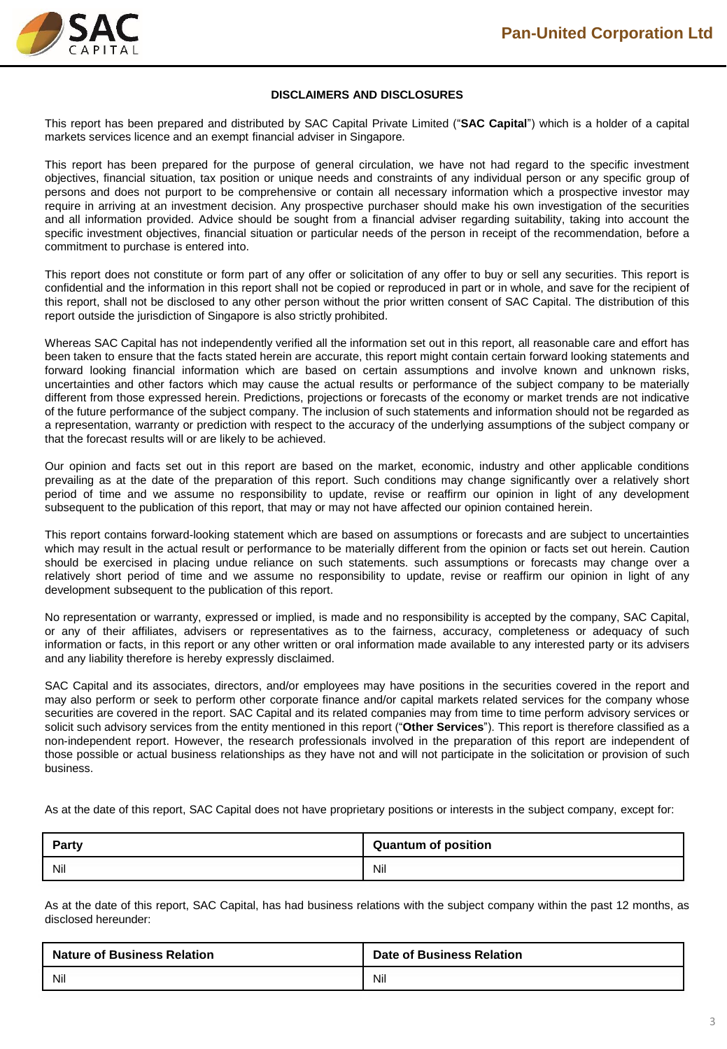

### **DISCLAIMERS AND DISCLOSURES**

This report has been prepared and distributed by SAC Capital Private Limited ("**SAC Capital**") which is a holder of a capital markets services licence and an exempt financial adviser in Singapore.

This report has been prepared for the purpose of general circulation, we have not had regard to the specific investment objectives, financial situation, tax position or unique needs and constraints of any individual person or any specific group of persons and does not purport to be comprehensive or contain all necessary information which a prospective investor may require in arriving at an investment decision. Any prospective purchaser should make his own investigation of the securities and all information provided. Advice should be sought from a financial adviser regarding suitability, taking into account the specific investment objectives, financial situation or particular needs of the person in receipt of the recommendation, before a commitment to purchase is entered into.

This report does not constitute or form part of any offer or solicitation of any offer to buy or sell any securities. This report is confidential and the information in this report shall not be copied or reproduced in part or in whole, and save for the recipient of this report, shall not be disclosed to any other person without the prior written consent of SAC Capital. The distribution of this report outside the jurisdiction of Singapore is also strictly prohibited.

Whereas SAC Capital has not independently verified all the information set out in this report, all reasonable care and effort has been taken to ensure that the facts stated herein are accurate, this report might contain certain forward looking statements and forward looking financial information which are based on certain assumptions and involve known and unknown risks, uncertainties and other factors which may cause the actual results or performance of the subject company to be materially different from those expressed herein. Predictions, projections or forecasts of the economy or market trends are not indicative of the future performance of the subject company. The inclusion of such statements and information should not be regarded as a representation, warranty or prediction with respect to the accuracy of the underlying assumptions of the subject company or that the forecast results will or are likely to be achieved.

Our opinion and facts set out in this report are based on the market, economic, industry and other applicable conditions prevailing as at the date of the preparation of this report. Such conditions may change significantly over a relatively short period of time and we assume no responsibility to update, revise or reaffirm our opinion in light of any development subsequent to the publication of this report, that may or may not have affected our opinion contained herein.

This report contains forward-looking statement which are based on assumptions or forecasts and are subject to uncertainties which may result in the actual result or performance to be materially different from the opinion or facts set out herein. Caution should be exercised in placing undue reliance on such statements. such assumptions or forecasts may change over a relatively short period of time and we assume no responsibility to update, revise or reaffirm our opinion in light of any development subsequent to the publication of this report.

No representation or warranty, expressed or implied, is made and no responsibility is accepted by the company, SAC Capital, or any of their affiliates, advisers or representatives as to the fairness, accuracy, completeness or adequacy of such information or facts, in this report or any other written or oral information made available to any interested party or its advisers and any liability therefore is hereby expressly disclaimed.

SAC Capital and its associates, directors, and/or employees may have positions in the securities covered in the report and may also perform or seek to perform other corporate finance and/or capital markets related services for the company whose securities are covered in the report. SAC Capital and its related companies may from time to time perform advisory services or solicit such advisory services from the entity mentioned in this report ("**Other Services**"). This report is therefore classified as a non-independent report. However, the research professionals involved in the preparation of this report are independent of those possible or actual business relationships as they have not and will not participate in the solicitation or provision of such business.

As at the date of this report, SAC Capital does not have proprietary positions or interests in the subject company, except for:

| <b>Party</b> | <b>Quantum of position</b> |
|--------------|----------------------------|
| Nil          | Nil                        |

As at the date of this report, SAC Capital, has had business relations with the subject company within the past 12 months, as disclosed hereunder:

| <b>Nature of Business Relation</b> | <b>Date of Business Relation</b> |
|------------------------------------|----------------------------------|
| Nil                                | Nil                              |